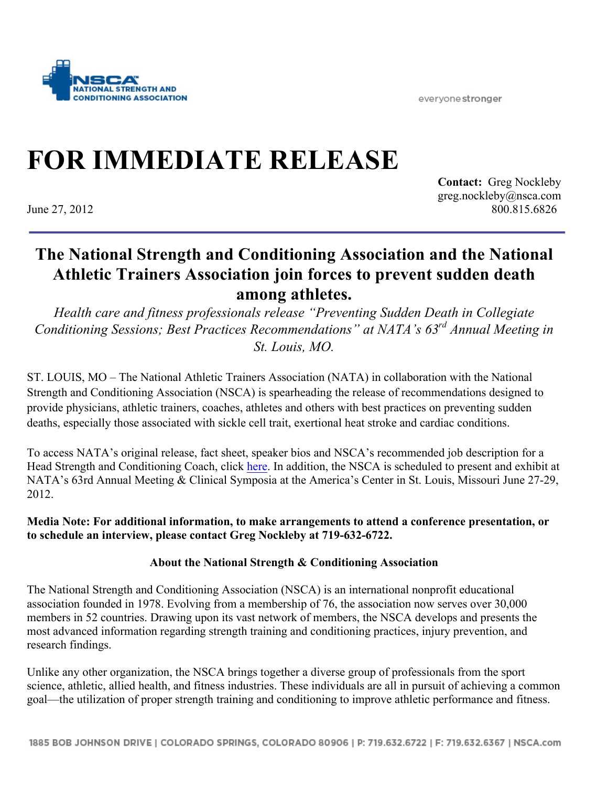everyone stronger



## **FOR IMMEDIATE RELEASE**

**Contact:** Greg Nockleby greg.nockleby@nsca.com June 27, 2012 800.815.6826

## **The National Strength and Conditioning Association and the National Athletic Trainers Association join forces to prevent sudden death among athletes.**

*Health care and fitness professionals release "Preventing Sudden Death in Collegiate Conditioning Sessions; Best Practices Recommendations" at NATA's 63rd Annual Meeting in St. Louis, MO.*

ST. LOUIS, MO – The National Athletic Trainers Association (NATA) in collaboration with the National Strength and Conditioning Association (NSCA) is spearheading the release of recommendations designed to provide physicians, athletic trainers, coaches, athletes and others with best practices on preventing sudden deaths, especially those associated with sickle cell trait, exertional heat stroke and cardiac conditions.

To access NATA's original release, fact sheet, speaker bios and NSCA's recommended job description for a Head Strength and Conditioning Coach, click here. In addition, the NSCA is scheduled to present and exhibit at NATA's 63rd Annual Meeting & Clinical Symposia at the America's Center in St. Louis, Missouri June 27-29, 2012.

**Media Note: For additional information, to make arrangements to attend a conference presentation, or to schedule an interview, please contact Greg Nockleby at 719-632-6722.** 

## **About the National Strength & Conditioning Association**

The National Strength and Conditioning Association (NSCA) is an international nonprofit educational association founded in 1978. Evolving from a membership of 76, the association now serves over 30,000 members in 52 countries. Drawing upon its vast network of members, the NSCA develops and presents the most advanced information regarding strength training and conditioning practices, injury prevention, and research findings.

Unlike any other organization, the NSCA brings together a diverse group of professionals from the sport science, athletic, allied health, and fitness industries. These individuals are all in pursuit of achieving a common goal—the utilization of proper strength training and conditioning to improve athletic performance and fitness.